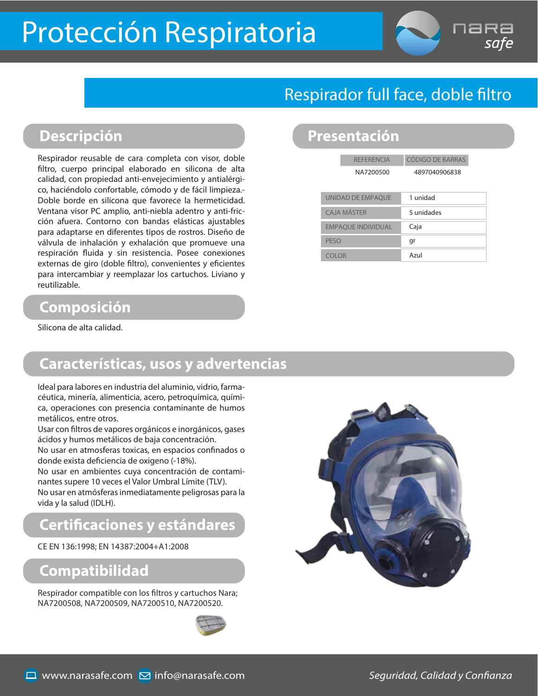# Protección Respiratoria

### Respirador full face, doble filtro

### **Descripción Presentación**

Respirador reusable de cara completa con visor, doble filtro, cuerpo principal elaborado en silicona de alta calidad, con propiedad anti-envejecimiento y antialérgico, haciéndolo confortable, cómodo y de fácil limpieza.- Doble borde en silicona que favorece la hermeticidad. Ventana visor PC amplio, anti-niebla adentro y anti-fricción afuera. Contorno con bandas elásticas ajustables para adaptarse en diferentes tipos de rostros. Diseño de válvula de inhalación y exhalación que promueve una respiración fluida y sin resistencia. Posee conexiones externas de giro (doble filtro), convenientes y eficientes para intercambiar y reemplazar los cartuchos. Liviano y reutilizable.

### **Composición**

Silicona de alta calidad.

### **Características, usos y advertencias**

Ideal para labores en industria del aluminio, vidrio, farmacéutica, minería, alimenticia, acero, petroquímica, química, operaciones con presencia contaminante de humos metálicos, entre otros.

Usar con filtros de vapores orgánicos e inorgánicos, gases ácidos y humos metálicos de baja concentración.

No usar en atmosferas toxicas, en espacios confinados o donde exista deficiencia de oxigeno (-18%).

No usar en ambientes cuya concentración de contaminantes supere 10 veces el Valor Umbral Límite (TLV). No usar en atmósferas inmediatamente peligrosas para la vida y la salud (IDLH).

### **Certicaciones y estándares**

CE EN 136:1998; EN 14387:2004+A1:2008

### **Compatibilidad**

Respirador compatible con los filtros y cartuchos Nara; NA7200508, NA7200509, NA7200510, NA7200520.





| <b>REFERENCIA</b> | CÓDIGO DE BARRAS |
|-------------------|------------------|
| NA7200500         | 4897040906838    |
|                   |                  |

| UNIDAD DE EMPAQUE         | 1 unidad   |
|---------------------------|------------|
| <b>CAJA MÁSTFR</b>        | 5 unidades |
| <b>EMPAOUE INDIVIDUAL</b> | Caja       |
| PESO                      | gr         |
| COLOR                     | Azul       |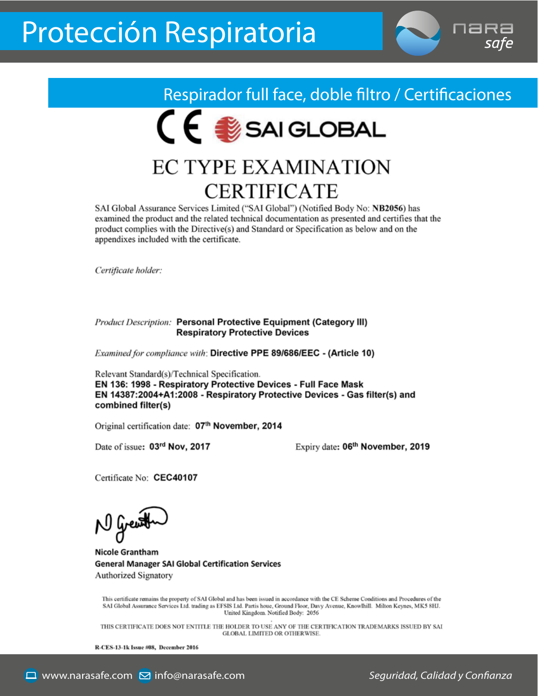

Respirador full face, doble filtro / Certificaciones CE SAIGLOBAL

## **EC TYPE EXAMINATION CERTIFICATE**

SAI Global Assurance Services Limited ("SAI Global") (Notified Body No: NB2056) has examined the product and the related technical documentation as presented and certifies that the product complies with the Directive(s) and Standard or Specification as below and on the appendixes included with the certificate.

Certificate holder:

#### **Product Description: Personal Protective Equipment (Category III) Respiratory Protective Devices**

Examined for compliance with: Directive PPE 89/686/EEC - (Article 10)

Relevant Standard(s)/Technical Specification. EN 136: 1998 - Respiratory Protective Devices - Full Face Mask EN 14387:2004+A1:2008 - Respiratory Protective Devices - Gas filter(s) and combined filter(s)

Original certification date: 07th November, 2014

Date of issue: 03rd Nov, 2017

Expiry date: 06<sup>th</sup> November, 2019

Certificate No: CEC40107

N liverest

**Nicole Grantham General Manager SAI Global Certification Services** Authorized Signatory

This certificate remains the property of SAI Global and has been issued in accordance with the CE Scheme Conditions and Procedures of the SAI Global Assurance Services Ltd. trading as EFSIS Ltd. Partis houe, Ground Floor, Davy Avenue, Knowlhill. Milton Keynes, MK5 8HJ. United Kingdom. Notified Body: 2056

THIS CERTIFICATE DOES NOT ENTITLE THE HOLDER TO USE ANY OF THE CERTIFICATION TRADEMARKS ISSUED BY SAI GLOBAL LIMITED OR OTHERWISE

R-CES-13-1k Issue #08, December 2016

Seguridad, Calidad y Confianza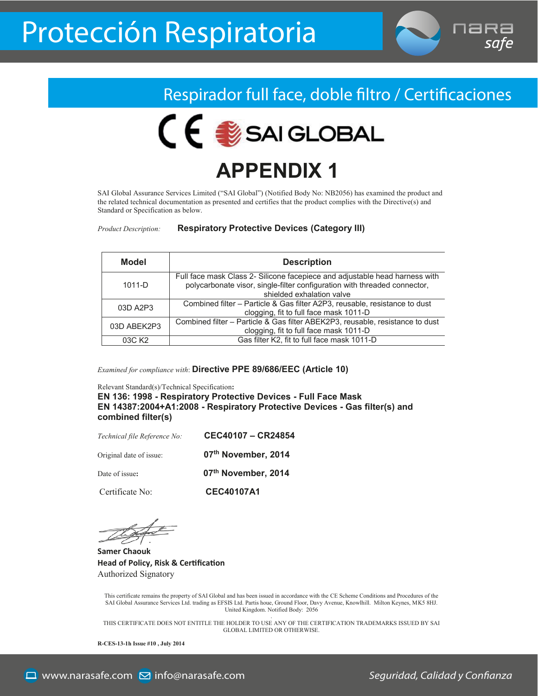



## **APPENDIX 1**

SAI Global Assurance Services Limited ("SAI Global") (Notified Body No: NB2056) has examined the product and the related technical documentation as presented and certifies that the product complies with the Directive(s) and Standard or Specification as below.

*Product Description:* **Respiratory Protective Devices (Category III)**

| <b>Model</b>       | <b>Description</b>                                                                                                                                                                    |
|--------------------|---------------------------------------------------------------------------------------------------------------------------------------------------------------------------------------|
| $1011-D$           | Full face mask Class 2- Silicone facepiece and adjustable head harness with<br>polycarbonate visor, single-filter configuration with threaded connector,<br>shielded exhalation valve |
| 03D A2P3           | Combined filter – Particle & Gas filter A2P3, reusable, resistance to dust<br>clogging, fit to full face mask 1011-D                                                                  |
| 03D ABEK2P3        | Combined filter - Particle & Gas filter ABEK2P3, reusable, resistance to dust<br>clogging, fit to full face mask 1011-D                                                               |
| 03C K <sub>2</sub> | Gas filter K2, fit to full face mask 1011-D                                                                                                                                           |

*Examined for compliance with*: **Directive PPE 89/686/EEC (Article 10)**

Relevant Standard(s)/Technical Specification**:**

**EN 136: 1998 - Respiratory Protective Devices - Full Face Mask EN 14387:2004+A1:2008 - Respiratory Protective Devices - Gas filter(s) and combined filter(s)**

| Technical file Reference No: | CEC40107 - CR24854  |
|------------------------------|---------------------|
| Original date of issue:      | 07th November, 2014 |
| Date of issue:               | 07th November, 2014 |
| Certificate No:              | <b>CEC40107A1</b>   |

**Samer Chaouk Head of Policy, Risk & Cer�fica�on** Authorized Signatory

This certificate remains the property of SAI Global and has been issued in accordance with the CE Scheme Conditions and Procedures of the SAI Global Assurance Services Ltd. trading as EFSIS Ltd. Partis houe, Ground Floor, Davy Avenue, Knowlhill. Milton Keynes, MK5 8HJ. United Kingdom. Notified Body: 2056

. THIS CERTIFICATE DOES NOT ENTITLE THE HOLDER TO USE ANY OF THE CERTIFICATION TRADEMARKS ISSUED BY SAI GLOBAL LIMITED OR OTHERWISE.

**R-CES-13-1h Issue #10 , July 2014**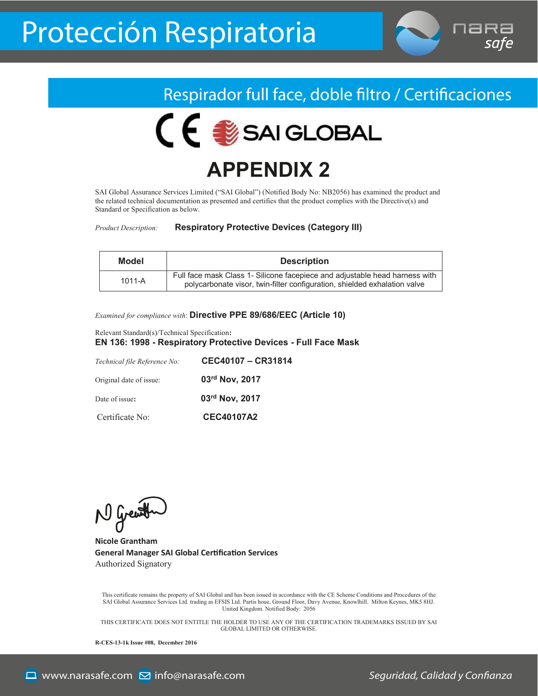



## **APPENDIX 2**

SAI Global Assurance Services Limited ("SAI Global") (Notified Body No: NB2056) has examined the product and the related technical documentation as presented and certifies that the product complies with the Directive(s) and Standard or Specification as below.

*Product Description:* **Respiratory Protective Devices (Category III)**

| Model      | <b>Description</b>                                                                                                                                       |
|------------|----------------------------------------------------------------------------------------------------------------------------------------------------------|
| $1011 - A$ | Full face mask Class 1- Silicone facepiece and adjustable head harness with<br>polycarbonate visor, twin-filter configuration, shielded exhalation valve |

*Examined for compliance with*: **Directive PPE 89/686/EEC (Article 10)**

Relevant Standard(s)/Technical Specification**: EN 136: 1998 - Respiratory Protective Devices - Full Face Mask**

| Technical file Reference No: | CEC40107 - CR31814 |
|------------------------------|--------------------|
| Original date of issue:      | 03rd Nov, 2017     |
| Date of issue:               | 03rd Nov, 2017     |
| Certificate No:              | <b>CEC40107A2</b>  |

N Grewth

**Nicole Grantham General Manager SAI Global Cer�fica�on Services** Authorized Signatory

This certificate remains the property of SAI Global and has been issued in accordance with the CE Scheme Conditions and Procedures of the SAI Global Assurance Services Ltd. trading as EFSIS Ltd. Partis houe, Ground Floor, Davy Avenue, Knowlhill. Milton Keynes, MK5 8HJ. United Kingdom. Notified Body: 2056

. THIS CERTIFICATE DOES NOT ENTITLE THE HOLDER TO USE ANY OF THE CERTIFICATION TRADEMARKS ISSUED BY SAI GLOBAL LIMITED OR OTHERWISE.

**R-CES-13-1k Issue #08, December 2016**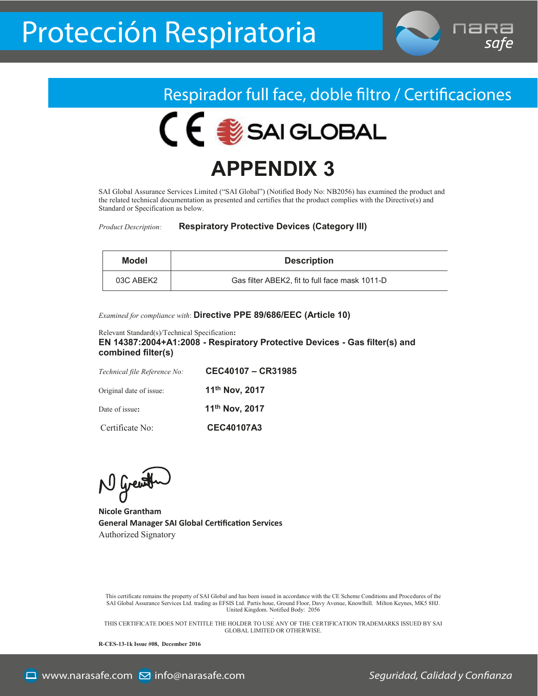



## **APPENDIX 3**

SAI Global Assurance Services Limited ("SAI Global") (Notified Body No: NB2056) has examined the product and the related technical documentation as presented and certifies that the product complies with the Directive(s) and Standard or Specification as below.

*Product Description:* **Respiratory Protective Devices (Category III)**

| Model     | <b>Description</b>                             |
|-----------|------------------------------------------------|
| 03C ABEK2 | Gas filter ABEK2, fit to full face mask 1011-D |

*Examined for compliance with*: **Directive PPE 89/686/EEC (Article 10)**

Relevant Standard(s)/Technical Specification**: EN 14387:2004+A1:2008 - Respiratory Protective Devices - Gas filter(s) and combined filter(s)**

| Technical file Reference No: | CEC40107 - CR31985 |
|------------------------------|--------------------|
| Original date of issue:      | 11th Nov, 2017     |
| Date of issue:               | 11th Nov, 2017     |
| Certificate No:              | <b>CEC40107A3</b>  |

N Great

**Nicole Grantham General Manager SAI Global Cer�fica�on Services** Authorized Signatory

This certificate remains the property of SAI Global and has been issued in accordance with the CE Scheme Conditions and Procedures of the SAI Global Assurance Services Ltd. trading as EFSIS Ltd. Partis houe, Ground Floor, Davy Avenue, Knowlhill. Milton Keynes, MK5 8HJ. United Kingdom. Notified Body: 2056

. THIS CERTIFICATE DOES NOT ENTITLE THE HOLDER TO USE ANY OF THE CERTIFICATION TRADEMARKS ISSUED BY SAI GLOBAL LIMITED OR OTHERWISE.

**R-CES-13-1k Issue #08, December 2016**